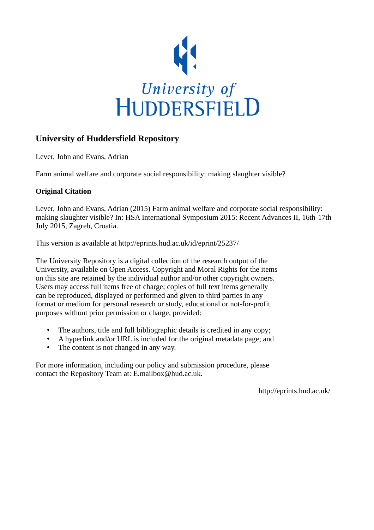

# **University of Huddersfield Repository**

Lever, John and Evans, Adrian

Farm animal welfare and corporate social responsibility: making slaughter visible?

# **Original Citation**

Lever, John and Evans, Adrian (2015) Farm animal welfare and corporate social responsibility: making slaughter visible? In: HSA International Symposium 2015: Recent Advances II, 16th-17th July 2015, Zagreb, Croatia.

This version is available at http://eprints.hud.ac.uk/id/eprint/25237/

The University Repository is a digital collection of the research output of the University, available on Open Access. Copyright and Moral Rights for the items on this site are retained by the individual author and/or other copyright owners. Users may access full items free of charge; copies of full text items generally can be reproduced, displayed or performed and given to third parties in any format or medium for personal research or study, educational or not-for-profit purposes without prior permission or charge, provided:

- The authors, title and full bibliographic details is credited in any copy;
- A hyperlink and/or URL is included for the original metadata page; and
- The content is not changed in any way.

For more information, including our policy and submission procedure, please contact the Repository Team at: E.mailbox@hud.ac.uk.

http://eprints.hud.ac.uk/